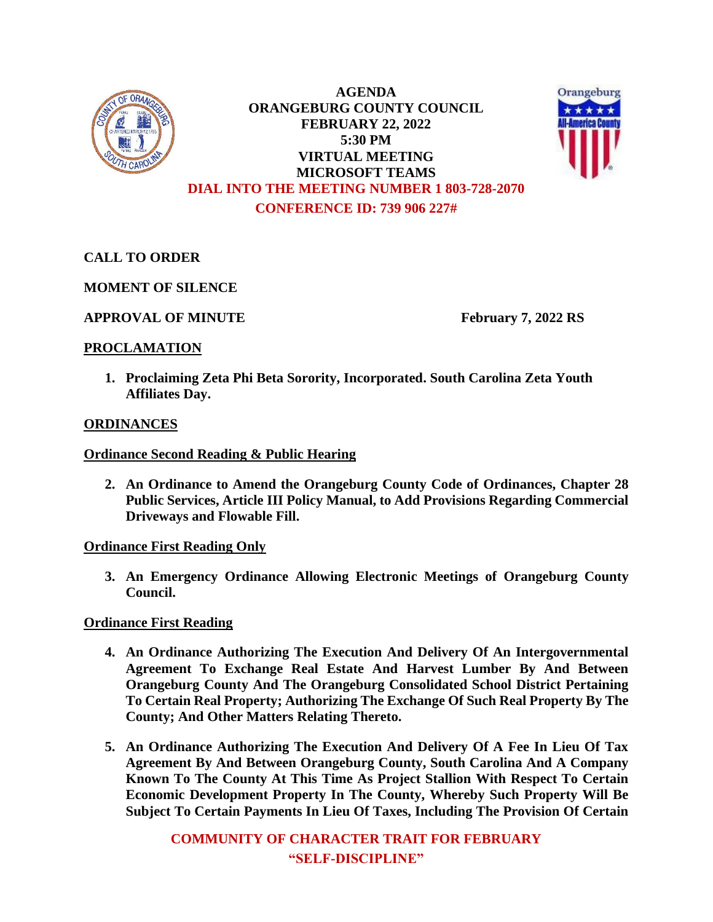

**AGENDA ORANGEBURG COUNTY COUNCIL FEBRUARY 22, 2022 5:30 PM VIRTUAL MEETING MICROSOFT TEAMS DIAL INTO THE MEETING NUMBER 1 803-728-2070 CONFERENCE ID: 739 906 227#**



## **CALL TO ORDER**

**MOMENT OF SILENCE**

## **APPROVAL OF MINUTE February 7, 2022 RS**

## **PROCLAMATION**

**1. Proclaiming Zeta Phi Beta Sorority, Incorporated. South Carolina Zeta Youth Affiliates Day.**

## **ORDINANCES**

## **Ordinance Second Reading & Public Hearing**

**2. An Ordinance to Amend the Orangeburg County Code of Ordinances, Chapter 28 Public Services, Article III Policy Manual, to Add Provisions Regarding Commercial Driveways and Flowable Fill.**

## **Ordinance First Reading Only**

**3. An Emergency Ordinance Allowing Electronic Meetings of Orangeburg County Council.**

**Ordinance First Reading**

- **4. An Ordinance Authorizing The Execution And Delivery Of An Intergovernmental Agreement To Exchange Real Estate And Harvest Lumber By And Between Orangeburg County And The Orangeburg Consolidated School District Pertaining To Certain Real Property; Authorizing The Exchange Of Such Real Property By The County; And Other Matters Relating Thereto.**
- **5. An Ordinance Authorizing The Execution And Delivery Of A Fee In Lieu Of Tax Agreement By And Between Orangeburg County, South Carolina And A Company Known To The County At This Time As Project Stallion With Respect To Certain Economic Development Property In The County, Whereby Such Property Will Be Subject To Certain Payments In Lieu Of Taxes, Including The Provision Of Certain**

**COMMUNITY OF CHARACTER TRAIT FOR FEBRUARY "SELF-DISCIPLINE"**